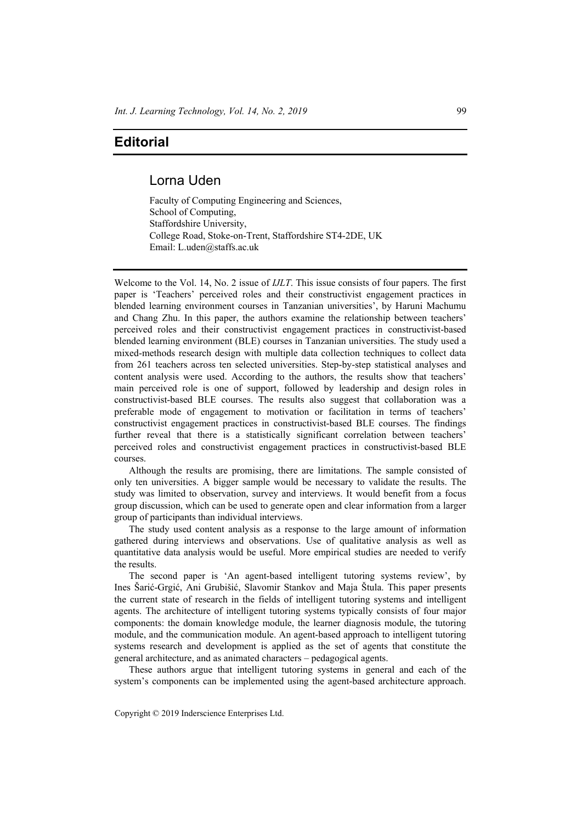## **Editorial**

## Lorna Uden

Faculty of Computing Engineering and Sciences, School of Computing, Staffordshire University, College Road, Stoke-on-Trent, Staffordshire ST4-2DE, UK Email: L.uden@staffs.ac.uk

Welcome to the Vol. 14, No. 2 issue of *IJLT*. This issue consists of four papers. The first paper is 'Teachers' perceived roles and their constructivist engagement practices in blended learning environment courses in Tanzanian universities', by Haruni Machumu and Chang Zhu. In this paper, the authors examine the relationship between teachers' perceived roles and their constructivist engagement practices in constructivist-based blended learning environment (BLE) courses in Tanzanian universities. The study used a mixed-methods research design with multiple data collection techniques to collect data from 261 teachers across ten selected universities. Step-by-step statistical analyses and content analysis were used. According to the authors, the results show that teachers' main perceived role is one of support, followed by leadership and design roles in constructivist-based BLE courses. The results also suggest that collaboration was a preferable mode of engagement to motivation or facilitation in terms of teachers' constructivist engagement practices in constructivist-based BLE courses. The findings further reveal that there is a statistically significant correlation between teachers' perceived roles and constructivist engagement practices in constructivist-based BLE courses.

Although the results are promising, there are limitations. The sample consisted of only ten universities. A bigger sample would be necessary to validate the results. The study was limited to observation, survey and interviews. It would benefit from a focus group discussion, which can be used to generate open and clear information from a larger group of participants than individual interviews.

The study used content analysis as a response to the large amount of information gathered during interviews and observations. Use of qualitative analysis as well as quantitative data analysis would be useful. More empirical studies are needed to verify the results.

The second paper is 'An agent-based intelligent tutoring systems review', by Ines Šarić-Grgić, Ani Grubišić, Slavomir Stankov and Maja Štula. This paper presents the current state of research in the fields of intelligent tutoring systems and intelligent agents. The architecture of intelligent tutoring systems typically consists of four major components: the domain knowledge module, the learner diagnosis module, the tutoring module, and the communication module. An agent-based approach to intelligent tutoring systems research and development is applied as the set of agents that constitute the general architecture, and as animated characters – pedagogical agents.

These authors argue that intelligent tutoring systems in general and each of the system's components can be implemented using the agent-based architecture approach.

Copyright © 2019 Inderscience Enterprises Ltd.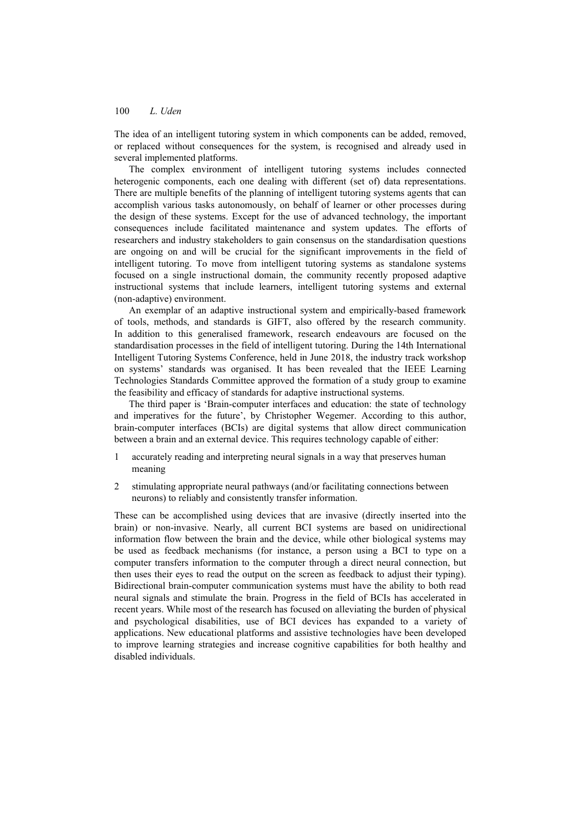## 100 *L. Uden*

The idea of an intelligent tutoring system in which components can be added, removed, or replaced without consequences for the system, is recognised and already used in several implemented platforms.

The complex environment of intelligent tutoring systems includes connected heterogenic components, each one dealing with different (set of) data representations. There are multiple benefits of the planning of intelligent tutoring systems agents that can accomplish various tasks autonomously, on behalf of learner or other processes during the design of these systems. Except for the use of advanced technology, the important consequences include facilitated maintenance and system updates. The efforts of researchers and industry stakeholders to gain consensus on the standardisation questions are ongoing on and will be crucial for the significant improvements in the field of intelligent tutoring. To move from intelligent tutoring systems as standalone systems focused on a single instructional domain, the community recently proposed adaptive instructional systems that include learners, intelligent tutoring systems and external (non-adaptive) environment.

An exemplar of an adaptive instructional system and empirically-based framework of tools, methods, and standards is GIFT, also offered by the research community. In addition to this generalised framework, research endeavours are focused on the standardisation processes in the field of intelligent tutoring. During the 14th International Intelligent Tutoring Systems Conference, held in June 2018, the industry track workshop on systems' standards was organised. It has been revealed that the IEEE Learning Technologies Standards Committee approved the formation of a study group to examine the feasibility and efficacy of standards for adaptive instructional systems.

The third paper is 'Brain-computer interfaces and education: the state of technology and imperatives for the future', by Christopher Wegemer. According to this author, brain-computer interfaces (BCIs) are digital systems that allow direct communication between a brain and an external device. This requires technology capable of either:

- 1 accurately reading and interpreting neural signals in a way that preserves human meaning
- 2 stimulating appropriate neural pathways (and/or facilitating connections between neurons) to reliably and consistently transfer information.

These can be accomplished using devices that are invasive (directly inserted into the brain) or non-invasive. Nearly, all current BCI systems are based on unidirectional information flow between the brain and the device, while other biological systems may be used as feedback mechanisms (for instance, a person using a BCI to type on a computer transfers information to the computer through a direct neural connection, but then uses their eyes to read the output on the screen as feedback to adjust their typing). Bidirectional brain-computer communication systems must have the ability to both read neural signals and stimulate the brain. Progress in the field of BCIs has accelerated in recent years. While most of the research has focused on alleviating the burden of physical and psychological disabilities, use of BCI devices has expanded to a variety of applications. New educational platforms and assistive technologies have been developed to improve learning strategies and increase cognitive capabilities for both healthy and disabled individuals.